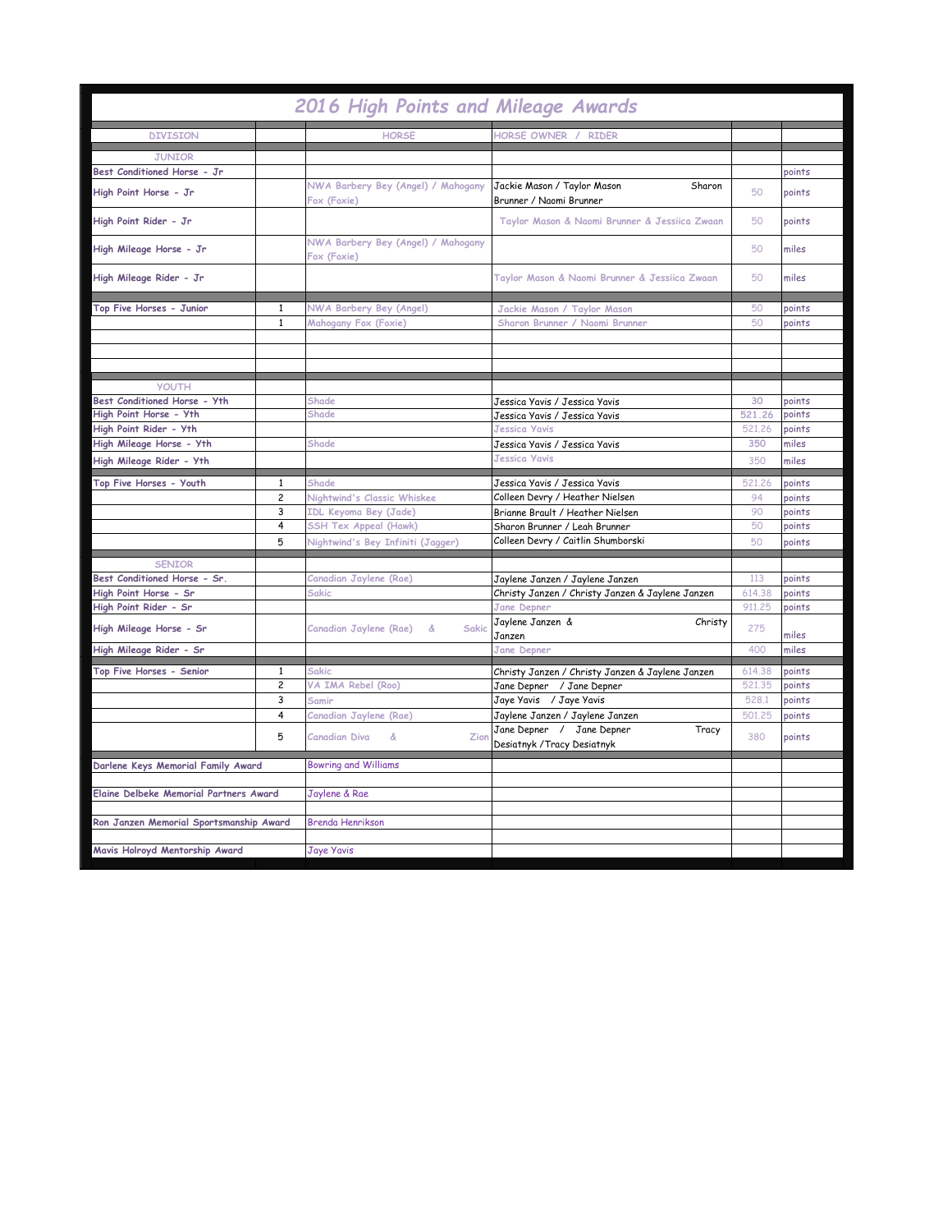| 2016 High Points and Mileage Awards           |                |                                                   |                                                  |        |        |
|-----------------------------------------------|----------------|---------------------------------------------------|--------------------------------------------------|--------|--------|
| <b>DIVISION</b>                               |                | <b>HORSE</b>                                      | HORSE OWNER / RIDER                              |        |        |
| <b>JUNIOR</b>                                 |                |                                                   |                                                  |        |        |
| Best Conditioned Horse - Jr                   |                |                                                   |                                                  |        | points |
|                                               |                | NWA Barbery Bey (Angel) / Mahogany                | Jackie Mason / Taylor Mason<br>Sharon            |        |        |
| High Point Horse - Jr                         |                | Fox (Foxie)                                       | Brunner / Naomi Brunner                          | 50     | points |
| High Point Rider - Jr                         |                |                                                   | Taylor Mason & Naomi Brunner & Jessiica Zwaan    | 50     | points |
| High Mileage Horse - Jr                       |                | NWA Barbery Bey (Angel) / Mahogany<br>Fox (Foxie) |                                                  | 50     | miles  |
| High Mileage Rider - Jr                       |                |                                                   | Taylor Mason & Naomi Brunner & Jessiica Zwaan    | 50     | miles  |
| Top Five Horses - Junior                      | $\mathbf{1}$   | NWA Barbery Bey (Angel)                           | Jackie Mason / Taylor Mason                      | 50     | points |
|                                               | $\mathbf{1}$   | Mahogany Fox (Foxie)                              | Sharon Brunner / Naomi Brunner                   | 50     | points |
|                                               |                |                                                   |                                                  |        |        |
|                                               |                |                                                   |                                                  |        |        |
|                                               |                |                                                   |                                                  |        |        |
| <b>YOUTH</b>                                  |                |                                                   |                                                  |        |        |
| Best Conditioned Horse - Yth                  |                | Shade                                             | Jessica Yavis / Jessica Yavis                    | 30     | points |
| High Point Horse - Yth                        |                | Shade                                             | Jessica Yavis / Jessica Yavis                    | 521.26 | points |
| High Point Rider - Yth                        |                |                                                   | <b>Jessica Yavis</b>                             | 521,26 | points |
| High Mileage Horse - Yth                      |                | Shade                                             | Jessica Yavis / Jessica Yavis                    | 350    | miles  |
| High Mileage Rider - Yth                      |                |                                                   | <b>Jessica Yavis</b>                             | 350    | miles  |
| Top Five Horses - Youth                       | $\mathbf{1}$   | Shade                                             | Jessica Yavis / Jessica Yavis                    | 521.26 | points |
|                                               | $\overline{c}$ | Nightwind's Classic Whiskee                       | Colleen Devry / Heather Nielsen                  | 94     | points |
|                                               | 3              | IDL Keyoma Bey (Jade)                             | Brianne Brault / Heather Nielsen                 | 90     | points |
|                                               | 4              | <b>SSH Tex Appeal (Hawk)</b>                      | Sharon Brunner / Leah Brunner                    | 50     | points |
|                                               | 5              | Nightwind's Bey Infiniti (Jagger)                 | Colleen Devry / Caitlin Shumborski               | 50     | points |
| <b>SENIOR</b>                                 |                |                                                   |                                                  |        |        |
| Best Conditioned Horse - Sr.                  |                | Canadian Jaylene (Rae)                            | Jaylene Janzen / Jaylene Janzen                  | 113    | points |
| High Point Horse - Sr                         |                | Sakic                                             | Christy Janzen / Christy Janzen & Jaylene Janzen | 614.38 | points |
| High Point Rider - Sr                         |                |                                                   | <b>Jane Depner</b>                               | 911,25 | points |
|                                               |                |                                                   | Jaylene Janzen &<br>Christy                      |        |        |
| High Mileage Horse - Sr                       |                | Canadian Jaylene (Rae)<br>Sakic<br>&              | Janzen                                           | 275    | miles  |
| High Mileage Rider - Sr                       |                |                                                   | <b>Jane Depner</b>                               | 400    | miles  |
| Top Five Horses - Senior                      | $\mathbf{1}$   | Sakic                                             | Christy Janzen / Christy Janzen & Jaylene Janzen | 614.38 | points |
|                                               | $\overline{c}$ | VA IMA Rebel (Roo)                                | Jane Depner / Jane Depner                        | 521.35 | points |
|                                               | 3              | Samir                                             | Jaye Yavis / Jaye Yavis                          | 528.1  | points |
|                                               | 4              | Canadian Jaylene (Rae)                            | Jaylene Janzen / Jaylene Janzen                  | 501,25 | points |
|                                               | 5              | Canadian Diva<br>ୡ<br>Zion                        | Jane Depner / Jane Depner<br>Tracy               | 380    | points |
|                                               |                |                                                   | Desiatnyk / Tracy Desiatnyk                      |        |        |
| Darlene Keys Memorial Family Award            |                | <b>Bowring and Williams</b>                       |                                                  |        |        |
|                                               |                |                                                   |                                                  |        |        |
| <b>Elaine Delbeke Memorial Partners Award</b> |                | Jaylene & Rae                                     |                                                  |        |        |
|                                               |                |                                                   |                                                  |        |        |
| Ron Janzen Memorial Sportsmanship Award       |                | <b>Brenda Henrikson</b>                           |                                                  |        |        |
|                                               |                |                                                   |                                                  |        |        |
| Mavis Holroyd Mentorship Award                |                | <b>Jaye Yavis</b>                                 |                                                  |        |        |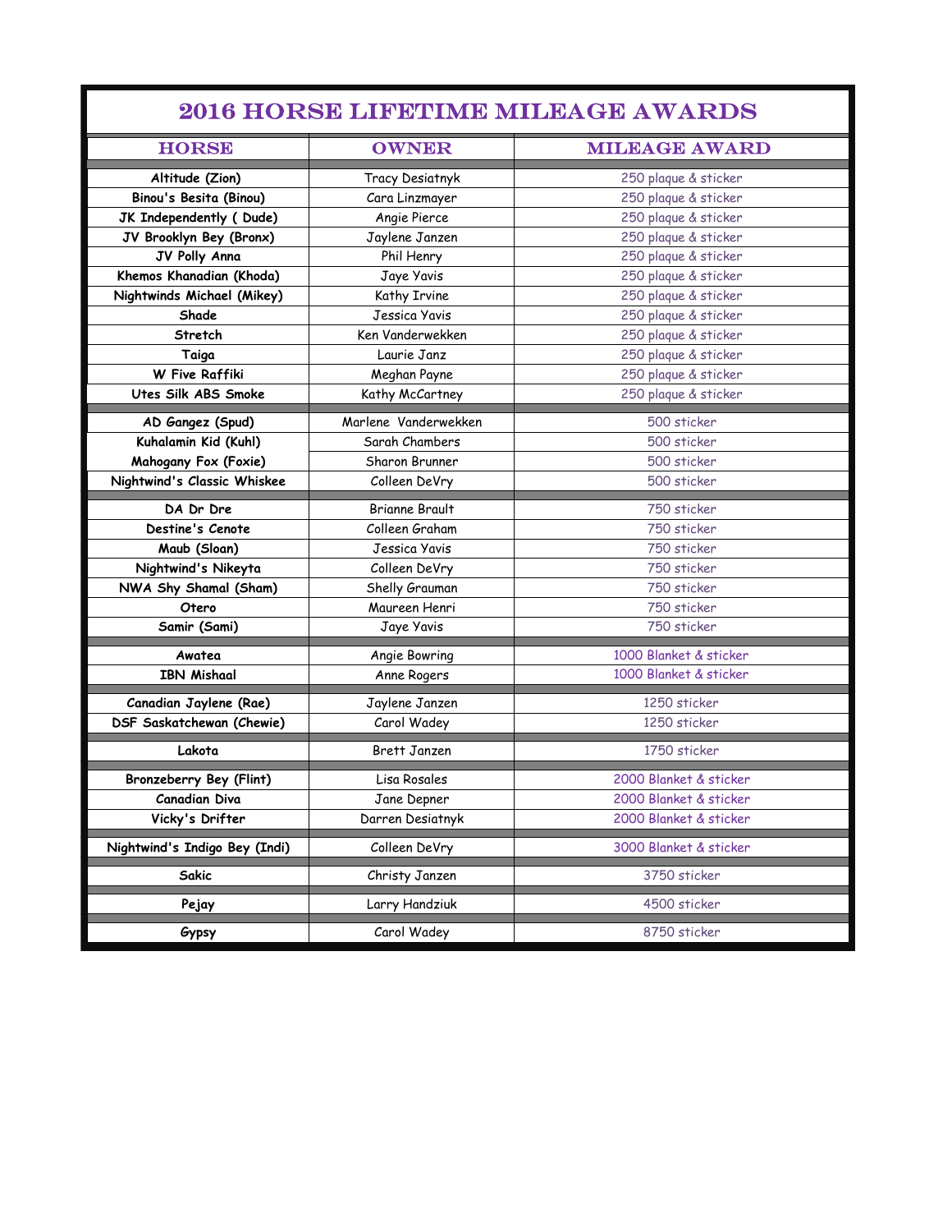| <b>2016 HORSE LIFETIME MILEAGE AWARDS</b> |                        |                        |  |  |
|-------------------------------------------|------------------------|------------------------|--|--|
| <b>HORSE</b>                              | <b>OWNER</b>           | <b>MILEAGE AWARD</b>   |  |  |
| Altitude (Zion)                           | <b>Tracy Desiatnyk</b> | 250 plaque & sticker   |  |  |
| <b>Binou's Besita (Binou)</b>             | Cara Linzmayer         | 250 plaque & sticker   |  |  |
| JK Independently (Dude)                   | Angie Pierce           | 250 plaque & sticker   |  |  |
| JV Brooklyn Bey (Bronx)                   | Jaylene Janzen         | 250 plaque & sticker   |  |  |
| JV Polly Anna                             | Phil Henry             | 250 plaque & sticker   |  |  |
| Khemos Khanadian (Khoda)                  | Jaye Yavis             | 250 plaque & sticker   |  |  |
| Nightwinds Michael (Mikey)                | Kathy Irvine           | 250 plaque & sticker   |  |  |
| Shade                                     | Jessica Yavis          | 250 plaque & sticker   |  |  |
| Stretch                                   | Ken Vanderwekken       | 250 plaque & sticker   |  |  |
| Taiga                                     | Laurie Janz            | 250 plaque & sticker   |  |  |
| W Five Raffiki                            | Meghan Payne           | 250 plaque & sticker   |  |  |
| Utes Silk ABS Smoke                       | Kathy McCartney        | 250 plaque & sticker   |  |  |
| AD Gangez (Spud)                          | Marlene Vanderwekken   | 500 sticker            |  |  |
| Kuhalamin Kid (Kuhl)                      | Sarah Chambers         | 500 sticker            |  |  |
| Mahogany Fox (Foxie)                      | Sharon Brunner         | 500 sticker            |  |  |
| Nightwind's Classic Whiskee               | Colleen DeVry          | 500 sticker            |  |  |
| DA Dr Dre                                 | <b>Brianne Brault</b>  | 750 sticker            |  |  |
| Destine's Cenote                          | Colleen Graham         | 750 sticker            |  |  |
| Maub (Sloan)                              | Jessica Yavis          | 750 sticker            |  |  |
| Nightwind's Nikeyta                       | Colleen DeVry          | 750 sticker            |  |  |
| NWA Shy Shamal (Sham)                     | Shelly Grauman         | 750 sticker            |  |  |
| Otero                                     | Maureen Henri          | 750 sticker            |  |  |
| Samir (Sami)                              | Jaye Yavis             | 750 sticker            |  |  |
| Awatea                                    | Angie Bowring          | 1000 Blanket & sticker |  |  |
| <b>IBN Mishaal</b>                        | Anne Rogers            | 1000 Blanket & sticker |  |  |
| Canadian Jaylene (Rae)                    | Jaylene Janzen         | 1250 sticker           |  |  |
| DSF Saskatchewan (Chewie)                 | Carol Wadey            | 1250 sticker           |  |  |
| Lakota                                    | Brett Janzen           | 1750 sticker           |  |  |
| Bronzeberry Bey (Flint)                   | Lisa Rosales           | 2000 Blanket & sticker |  |  |
| <b>Canadian Diva</b>                      | Jane Depner            | 2000 Blanket & sticker |  |  |
| Vicky's Drifter                           | Darren Desiatnyk       | 2000 Blanket & sticker |  |  |
| Nightwind's Indigo Bey (Indi)             | Colleen DeVry          | 3000 Blanket & sticker |  |  |
| Sakic                                     | Christy Janzen         | 3750 sticker           |  |  |
| Pejay                                     | Larry Handziuk         | 4500 sticker           |  |  |
| Gypsy                                     | Carol Wadey            | 8750 sticker           |  |  |